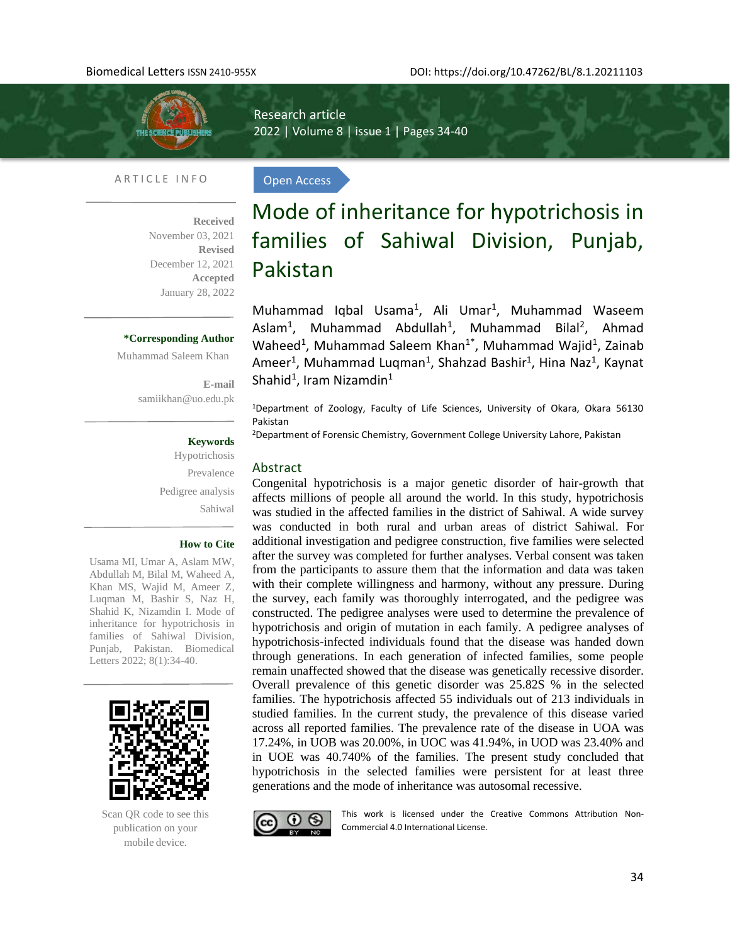

l,

Research article 2022 | Volume 8 | issue 1 | Pages 34-40

Open Access

#### ARTICLE INFO

**Received**  November 03, 2021 **Revised**  December 12, 2021 **Accepted** January 28, 2022

### **\*Corresponding Author**

Muhammad Saleem Khan

**E-mail**  [samiikhan@uo.edu.pk](mailto:samiikhan@uo.edu.pk)

### **Keywords**

Hypotrichosis Prevalence Pedigree analysis Sahiwal

#### **How to Cite**

Usama MI, Umar A, Aslam MW, Abdullah M, Bilal M, Waheed A, Khan MS, Wajid M, Ameer Z, Luqman M, Bashir S, Naz H, Shahid K, Nizamdin I. Mode of inheritance for hypotrichosis in families of Sahiwal Division, Punjab, Pakistan. Biomedical Letters 2022; 8(1):34-40.



Scan QR code to see this publication on your mobile device.

# Mode of inheritance for hypotrichosis in families of Sahiwal Division, Punjab, Pakistan

Muhammad Iqbal Usama<sup>1</sup>, Ali Umar<sup>1</sup>, Muhammad Waseem Aslam<sup>1</sup>, Muhammad Abdullah<sup>1</sup>, Muhammad Bilal<sup>2</sup>, Ahmad Waheed<sup>1</sup>, Muhammad Saleem Khan<sup>1\*</sup>, Muhammad Wajid<sup>1</sup>, Zainab Ameer<sup>1</sup>, Muhammad Luqman<sup>1</sup>, Shahzad Bashir<sup>1</sup>, Hina Naz<sup>1</sup>, Kaynat Shahid $^1$ , Iram Nizamdin $^1$ 

<sup>1</sup>Department of Zoology, Faculty of Life Sciences, University of Okara, Okara 56130 Pakistan

<sup>2</sup>Department of Forensic Chemistry, Government College University Lahore, Pakistan

#### Abstract

Congenital hypotrichosis is a major genetic disorder of hair-growth that affects millions of people all around the world. In this study, hypotrichosis was studied in the affected families in the district of Sahiwal. A wide survey was conducted in both rural and urban areas of district Sahiwal. For additional investigation and pedigree construction, five families were selected after the survey was completed for further analyses. Verbal consent was taken from the participants to assure them that the information and data was taken with their complete willingness and harmony, without any pressure. During the survey, each family was thoroughly interrogated, and the pedigree was constructed. The pedigree analyses were used to determine the prevalence of hypotrichosis and origin of mutation in each family. A pedigree analyses of hypotrichosis-infected individuals found that the disease was handed down through generations. In each generation of infected families, some people remain unaffected showed that the disease was genetically recessive disorder. Overall prevalence of this genetic disorder was 25.82S % in the selected families. The hypotrichosis affected 55 individuals out of 213 individuals in studied families. In the current study, the prevalence of this disease varied across all reported families. The prevalence rate of the disease in UOA was 17.24%, in UOB was 20.00%, in UOC was 41.94%, in UOD was 23.40% and in UOE was 40.740% of the families. The present study concluded that hypotrichosis in the selected families were persistent for at least three generations and the mode of inheritance was autosomal recessive.



This work is licensed under the Creative Commons Attribution Non-Commercial 4.0 International License.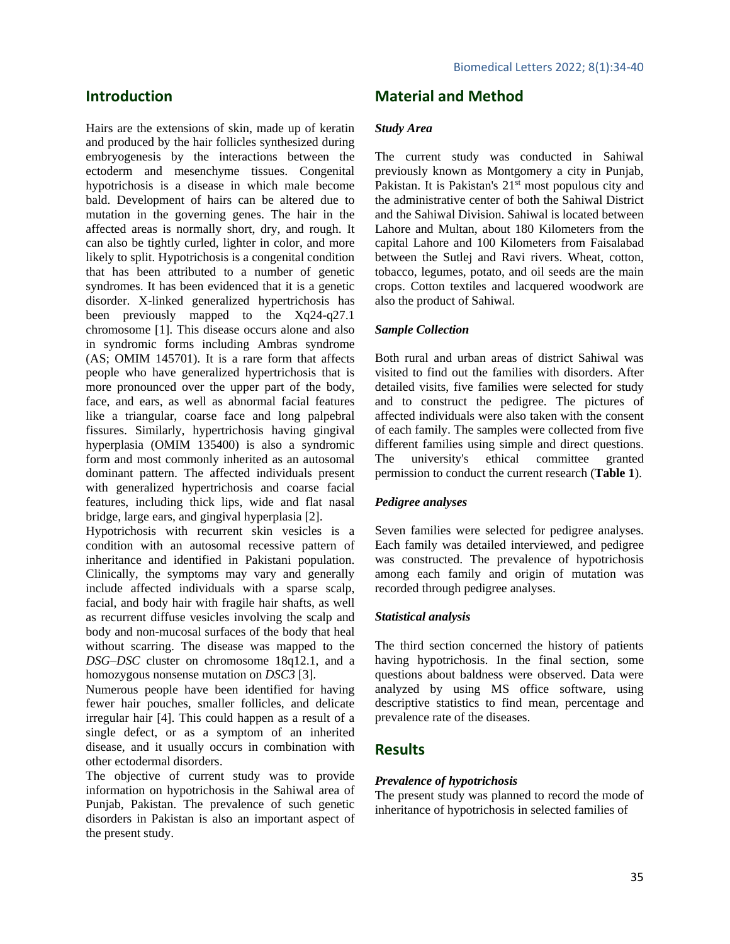# **Introduction**

Hairs are the extensions of skin, made up of keratin and produced by the hair follicles synthesized during embryogenesis by the interactions between the ectoderm and mesenchyme tissues. Congenital hypotrichosis is a disease in which male become bald. Development of hairs can be altered due to mutation in the governing genes. The hair in the affected areas is normally short, dry, and rough. It can also be tightly curled, lighter in color, and more likely to split. Hypotrichosis is a congenital condition that has been attributed to a number of genetic syndromes. It has been evidenced that it is a genetic disorder. X-linked generalized hypertrichosis has been previously mapped to the Xq24-q27.1 chromosome [1]. This disease occurs alone and also in syndromic forms including Ambras syndrome (AS; OMIM 145701). It is a rare form that affects people who have generalized hypertrichosis that is more pronounced over the upper part of the body, face, and ears, as well as abnormal facial features like a triangular, coarse face and long palpebral fissures. Similarly, hypertrichosis having gingival hyperplasia (OMIM 135400) is also a syndromic form and most commonly inherited as an autosomal dominant pattern. The affected individuals present with generalized hypertrichosis and coarse facial features, including thick lips, wide and flat nasal bridge, large ears, and gingival hyperplasia [2].

Hypotrichosis with recurrent skin vesicles is a condition with an autosomal recessive pattern of inheritance and identified in Pakistani population. Clinically, the symptoms may vary and generally include affected individuals with a sparse scalp, facial, and body hair with fragile hair shafts, as well as recurrent diffuse vesicles involving the scalp and body and non-mucosal surfaces of the body that heal without scarring. The disease was mapped to the *DSG–DSC* cluster on chromosome 18q12.1, and a homozygous nonsense mutation on *DSC3* [3].

Numerous people have been identified for having fewer hair pouches, smaller follicles, and delicate irregular hair [4]. This could happen as a result of a single defect, or as a symptom of an inherited disease, and it usually occurs in combination with other ectodermal disorders.

The objective of current study was to provide information on hypotrichosis in the Sahiwal area of Punjab, Pakistan. The prevalence of such genetic disorders in Pakistan is also an important aspect of the present study.

# **Material and Method**

#### *Study Area*

The current study was conducted in Sahiwal previously known as Montgomery a city in Punjab, Pakistan. It is Pakistan's 21<sup>st</sup> most populous city and the administrative center of both the Sahiwal District and the Sahiwal Division. Sahiwal is located between Lahore and Multan, about 180 Kilometers from the capital Lahore and 100 Kilometers from Faisalabad between the Sutlej and Ravi rivers. Wheat, cotton, tobacco, legumes, potato, and oil seeds are the main crops. Cotton textiles and lacquered woodwork are also the product of Sahiwal.

#### *Sample Collection*

Both rural and urban areas of district Sahiwal was visited to find out the families with disorders. After detailed visits, five families were selected for study and to construct the pedigree. The pictures of affected individuals were also taken with the consent of each family. The samples were collected from five different families using simple and direct questions. The university's ethical committee granted permission to conduct the current research (**Table 1**).

#### *Pedigree analyses*

Seven families were selected for pedigree analyses. Each family was detailed interviewed, and pedigree was constructed. The prevalence of hypotrichosis among each family and origin of mutation was recorded through pedigree analyses.

#### *Statistical analysis*

The third section concerned the history of patients having hypotrichosis. In the final section, some questions about baldness were observed. Data were analyzed by using MS office software, using descriptive statistics to find mean, percentage and prevalence rate of the diseases.

# **Results**

#### *Prevalence of hypotrichosis*

The present study was planned to record the mode of inheritance of hypotrichosis in selected families of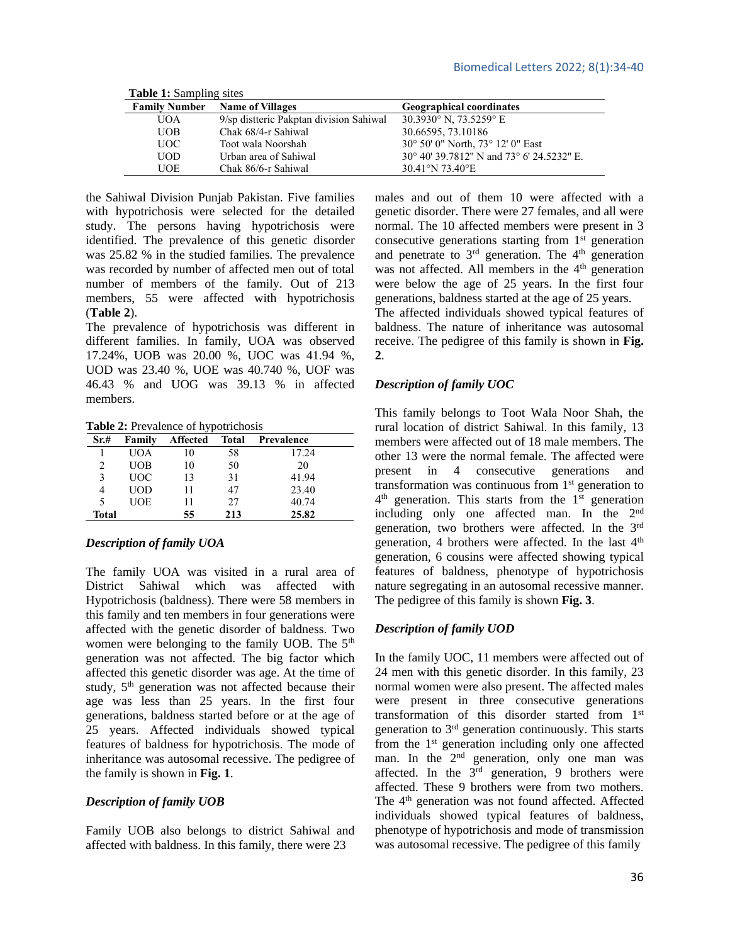| <b>Lable 1.</b> Dailiping Sites |                                         |                                                    |  |  |
|---------------------------------|-----------------------------------------|----------------------------------------------------|--|--|
| <b>Family Number</b>            | <b>Name of Villages</b>                 | <b>Geographical coordinates</b>                    |  |  |
| UOA                             | 9/sp distteric Pakptan division Sahiwal | 30.3930 $\degree$ N, 73.5259 $\degree$ E           |  |  |
| UOB                             | Chak 68/4-r Sahiwal                     | 30.66595, 73.10186                                 |  |  |
| UOC-                            | Toot wala Noorshah                      | 30° 50′ 0″ North, 73° 12′ 0″ East                  |  |  |
| <b>UOD</b>                      | Urban area of Sahiwal                   | $30^{\circ}$ 40' 39.7812" N and 73° 6' 24.5232" E. |  |  |
| UOE                             | Chak 86/6-r Sahiwal                     | 30.41°N 73.40°E                                    |  |  |

**Table 1:** Sampling sites

the Sahiwal Division Punjab Pakistan. Five families with hypotrichosis were selected for the detailed study. The persons having hypotrichosis were identified. The prevalence of this genetic disorder was 25.82 % in the studied families. The prevalence was recorded by number of affected men out of total number of members of the family. Out of 213 members, 55 were affected with hypotrichosis (**Table 2**).

The prevalence of hypotrichosis was different in different families. In family, UOA was observed 17.24%, UOB was 20.00 %, UOC was 41.94 %, UOD was 23.40 %, UOE was 40.740 %, UOF was 46.43 % and UOG was 39.13 % in affected members.

**Table 2:** Prevalence of hypotrichosis

| Sr.#  | Family     | <b>Affected</b> | Total | Prevalence |
|-------|------------|-----------------|-------|------------|
|       | UOA        | 10              | 58    | 17.24      |
|       | UOB        | 10              | 50    | 20         |
| 3     | UOC        | 13              | 31    | 41.94      |
|       | UOD        | 11              | 47    | 23.40      |
| 5     | <b>UOE</b> | 11              | 27    | 40.74      |
| Total |            | 55              | 213   | 25.82      |

#### *Description of family UOA*

The family UOA was visited in a rural area of District Sahiwal which was affected with Hypotrichosis (baldness). There were 58 members in this family and ten members in four generations were affected with the genetic disorder of baldness. Two women were belonging to the family UOB. The 5<sup>th</sup> generation was not affected. The big factor which affected this genetic disorder was age. At the time of study, 5<sup>th</sup> generation was not affected because their age was less than 25 years. In the first four generations, baldness started before or at the age of 25 years. Affected individuals showed typical features of baldness for hypotrichosis. The mode of inheritance was autosomal recessive. The pedigree of the family is shown in **Fig. 1**.

#### *Description of family UOB*

Family UOB also belongs to district Sahiwal and affected with baldness. In this family, there were 23

males and out of them 10 were affected with a genetic disorder. There were 27 females, and all were normal. The 10 affected members were present in 3 consecutive generations starting from 1<sup>st</sup> generation and penetrate to  $3<sup>rd</sup>$  generation. The  $4<sup>th</sup>$  generation was not affected. All members in the 4<sup>th</sup> generation were below the age of 25 years. In the first four generations, baldness started at the age of 25 years.

The affected individuals showed typical features of baldness. The nature of inheritance was autosomal receive. The pedigree of this family is shown in **Fig. 2**.

#### *Description of family UOC*

This family belongs to Toot Wala Noor Shah, the rural location of district Sahiwal. In this family, 13 members were affected out of 18 male members. The other 13 were the normal female. The affected were present in 4 consecutive generations and transformation was continuous from 1<sup>st</sup> generation to 4<sup>th</sup> generation. This starts from the 1<sup>st</sup> generation including only one affected man. In the 2<sup>nd</sup> generation, two brothers were affected. In the 3rd generation, 4 brothers were affected. In the last 4<sup>th</sup> generation, 6 cousins were affected showing typical features of baldness, phenotype of hypotrichosis nature segregating in an autosomal recessive manner. The pedigree of this family is shown **Fig. 3**.

#### *Description of family UOD*

In the family UOC, 11 members were affected out of 24 men with this genetic disorder. In this family, 23 normal women were also present. The affected males were present in three consecutive generations transformation of this disorder started from 1st generation to 3rd generation continuously. This starts from the  $1<sup>st</sup>$  generation including only one affected man. In the  $2<sup>nd</sup>$  generation, only one man was affected. In the  $3<sup>rd</sup>$  generation, 9 brothers were affected. These 9 brothers were from two mothers. The 4<sup>th</sup> generation was not found affected. Affected individuals showed typical features of baldness, phenotype of hypotrichosis and mode of transmission was autosomal recessive. The pedigree of this family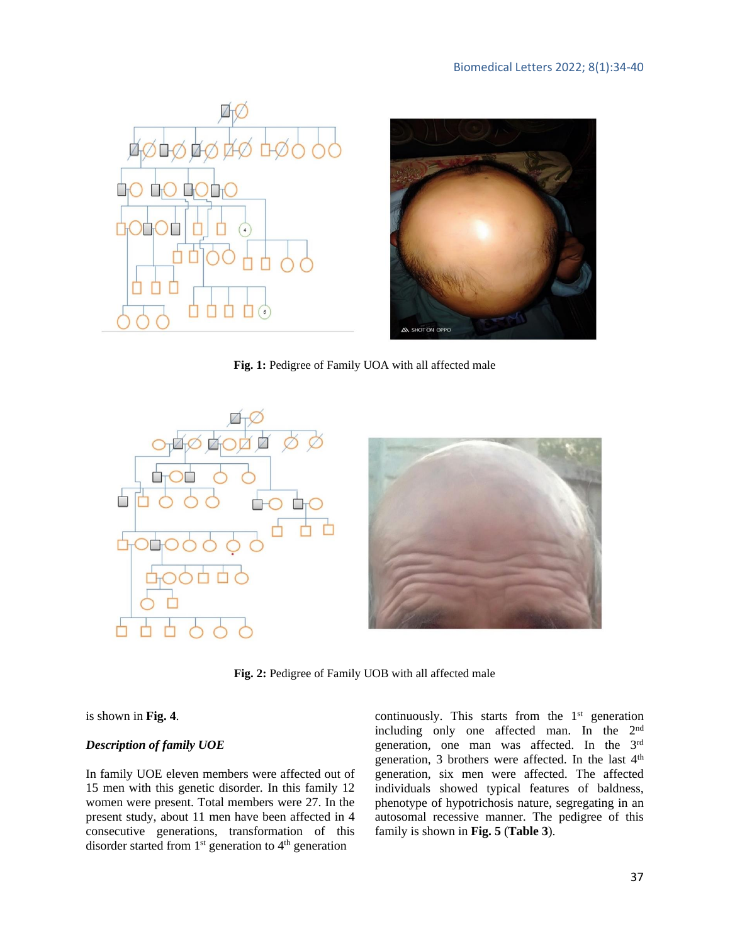



**Fig. 1:** Pedigree of Family UOA with all affected male



**Fig. 2:** Pedigree of Family UOB with all affected male

#### is shown in **Fig. 4**.

#### *Description of family UOE*

In family UOE eleven members were affected out of 15 men with this genetic disorder. In this family 12 women were present. Total members were 27. In the present study, about 11 men have been affected in 4 consecutive generations, transformation of this disorder started from 1<sup>st</sup> generation to 4<sup>th</sup> generation

continuously. This starts from the 1<sup>st</sup> generation including only one affected man. In the 2nd generation, one man was affected. In the 3rd generation, 3 brothers were affected. In the last 4<sup>th</sup> generation, six men were affected. The affected individuals showed typical features of baldness, phenotype of hypotrichosis nature, segregating in an autosomal recessive manner. The pedigree of this family is shown in **Fig. 5** (**Table 3**).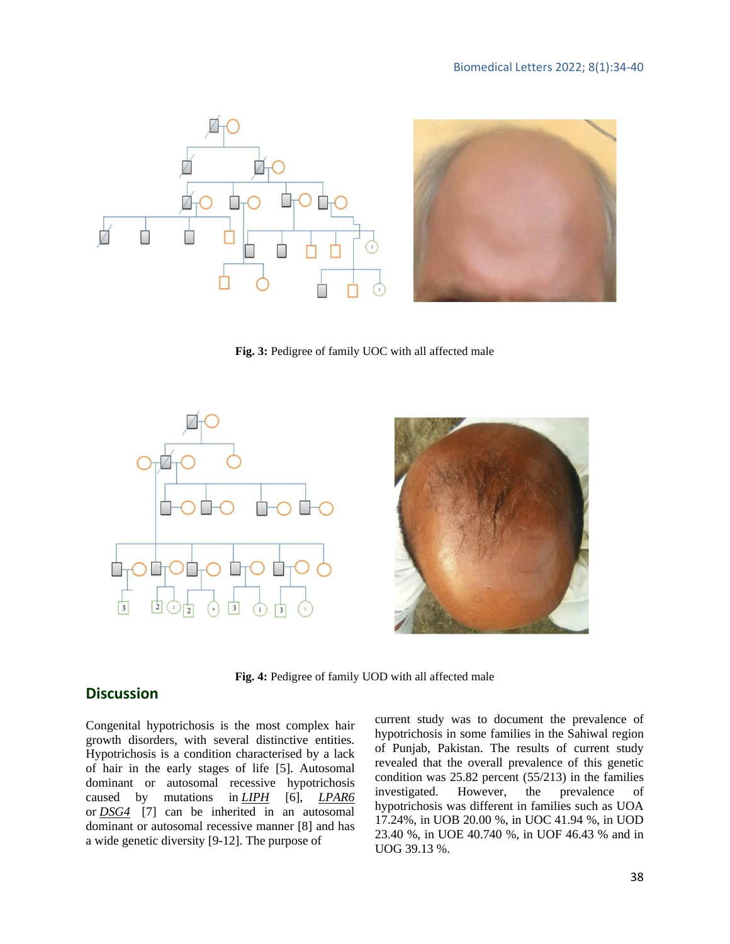

**Fig. 3:** Pedigree of family UOC with all affected male



**Fig. 4:** Pedigree of family UOD with all affected male

# **Discussion**

Congenital hypotrichosis is the most complex hair growth disorders, with several distinctive entities. Hypotrichosis is a condition characterised by a lack of hair in the early stages of life [5]. Autosomal dominant or autosomal recessive hypotrichosis caused by mutations in *[LIPH](https://medlineplus.gov/genetics/gene/liph/)* [6], *[LPAR6](https://medlineplus.gov/genetics/gene/lpar6/)* or *[DSG4](https://medlineplus.gov/genetics/gene/dsg4/)* [7] can be inherited in an autosomal dominant or autosomal recessive manner [8] and has a wide genetic diversity [9-12]. The purpose of

current study was to document the prevalence of hypotrichosis in some families in the Sahiwal region of Punjab, Pakistan. The results of current study revealed that the overall prevalence of this genetic condition was 25.82 percent (55/213) in the families investigated. However, the prevalence of hypotrichosis was different in families such as UOA 17.24%, in UOB 20.00 %, in UOC 41.94 %, in UOD 23.40 %, in UOE 40.740 %, in UOF 46.43 % and in UOG 39.13 %.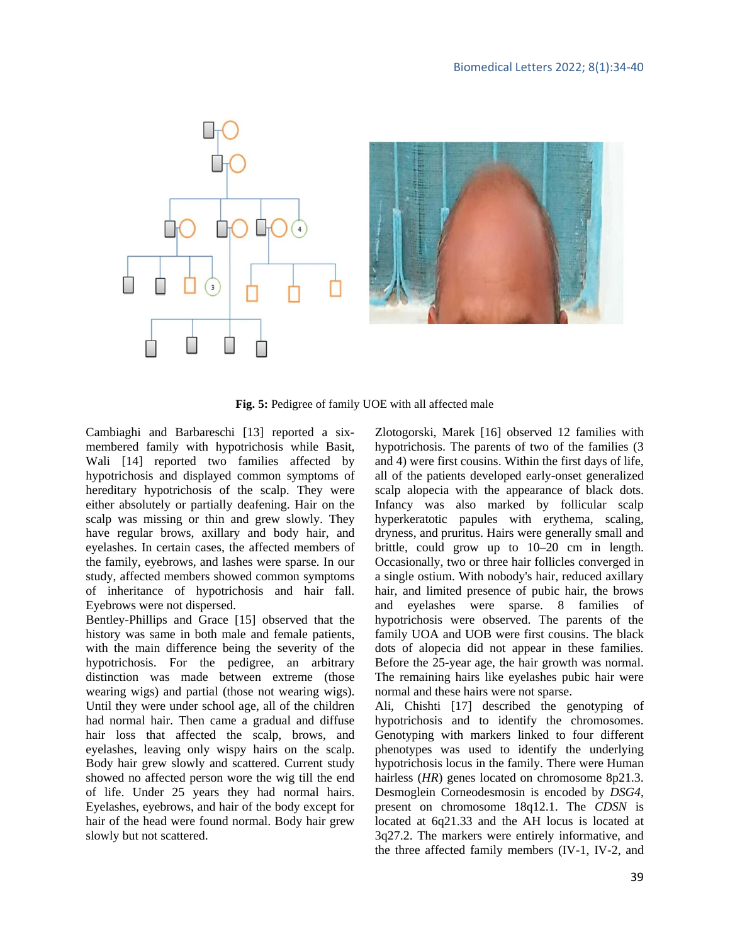

**Fig. 5:** Pedigree of family UOE with all affected male

Cambiaghi and Barbareschi [13] reported a sixmembered family with hypotrichosis while Basit, Wali [14] reported two families affected by hypotrichosis and displayed common symptoms of hereditary hypotrichosis of the scalp. They were either absolutely or partially deafening. Hair on the scalp was missing or thin and grew slowly. They have regular brows, axillary and body hair, and eyelashes. In certain cases, the affected members of the family, eyebrows, and lashes were sparse. In our study, affected members showed common symptoms of inheritance of hypotrichosis and hair fall. Eyebrows were not dispersed.

Bentley-Phillips and Grace [15] observed that the history was same in both male and female patients, with the main difference being the severity of the hypotrichosis. For the pedigree, an arbitrary distinction was made between extreme (those wearing wigs) and partial (those not wearing wigs). Until they were under school age, all of the children had normal hair. Then came a gradual and diffuse hair loss that affected the scalp, brows, and eyelashes, leaving only wispy hairs on the scalp. Body hair grew slowly and scattered. Current study showed no affected person wore the wig till the end of life. Under 25 years they had normal hairs. Eyelashes, eyebrows, and hair of the body except for hair of the head were found normal. Body hair grew slowly but not scattered.

Zlotogorski, Marek [16] observed 12 families with hypotrichosis. The parents of two of the families (3 and 4) were first cousins. Within the first days of life, all of the patients developed early-onset generalized scalp alopecia with the appearance of black dots. Infancy was also marked by follicular scalp hyperkeratotic papules with erythema, scaling, dryness, and pruritus. Hairs were generally small and brittle, could grow up to 10–20 cm in length. Occasionally, two or three hair follicles converged in a single ostium. With nobody's hair, reduced axillary hair, and limited presence of pubic hair, the brows and eyelashes were sparse. 8 families of hypotrichosis were observed. The parents of the family UOA and UOB were first cousins. The black dots of alopecia did not appear in these families. Before the 25-year age, the hair growth was normal. The remaining hairs like eyelashes pubic hair were normal and these hairs were not sparse.

Ali, Chishti [17] described the genotyping of hypotrichosis and to identify the chromosomes. Genotyping with markers linked to four different phenotypes was used to identify the underlying hypotrichosis locus in the family. There were Human hairless (*HR*) genes located on chromosome 8p21.3. Desmoglein Corneodesmosin is encoded by *DSG4*, present on chromosome 18q12.1. The *CDSN* is located at 6q21.33 and the AH locus is located at 3q27.2. The markers were entirely informative, and the three affected family members (IV-1, IV-2, and